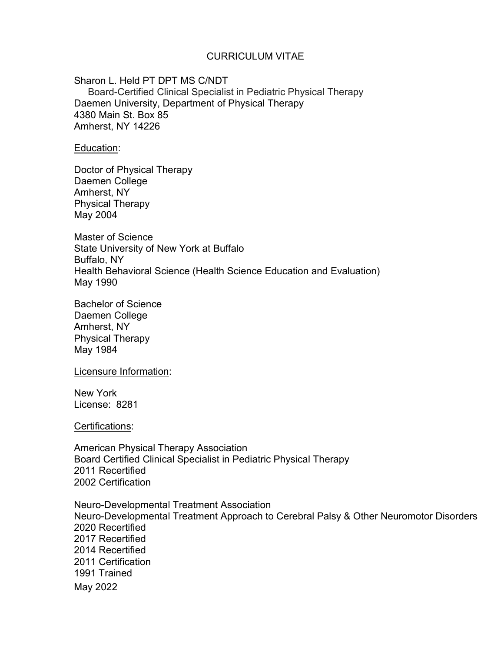### CURRICULUM VITAE

Sharon L. Held PT DPT MS C/NDT Board-Certified Clinical Specialist in Pediatric Physical Therapy Daemen University, Department of Physical Therapy 4380 Main St. Box 85 Amherst, NY 14226

Education:

Doctor of Physical Therapy Daemen College Amherst, NY Physical Therapy May 2004

Master of Science State University of New York at Buffalo Buffalo, NY Health Behavioral Science (Health Science Education and Evaluation) May 1990

Bachelor of Science Daemen College Amherst, NY Physical Therapy May 1984

Licensure Information:

New York License: 8281

Certifications:

American Physical Therapy Association Board Certified Clinical Specialist in Pediatric Physical Therapy 2011 Recertified 2002 Certification

May 2022 Neuro-Developmental Treatment Association Neuro-Developmental Treatment Approach to Cerebral Palsy & Other Neuromotor Disorders 2020 Recertified 2017 Recertified 2014 Recertified 2011 Certification 1991 Trained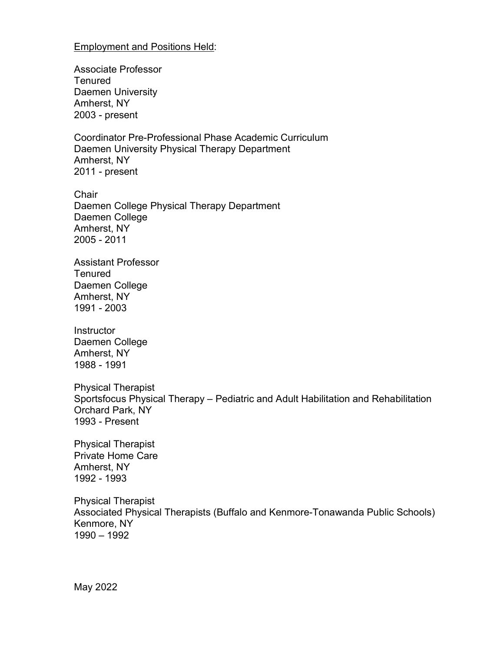### Employment and Positions Held:

Associate Professor **Tenured** Daemen University Amherst, NY 2003 - present

Coordinator Pre-Professional Phase Academic Curriculum Daemen University Physical Therapy Department Amherst, NY 2011 - present

**Chair** Daemen College Physical Therapy Department Daemen College Amherst, NY 2005 - 2011

Assistant Professor **Tenured** Daemen College Amherst, NY 1991 - 2003

**Instructor** Daemen College Amherst, NY 1988 - 1991

Physical Therapist Sportsfocus Physical Therapy – Pediatric and Adult Habilitation and Rehabilitation Orchard Park, NY 1993 - Present

Physical Therapist Private Home Care Amherst, NY 1992 - 1993

Physical Therapist Associated Physical Therapists (Buffalo and Kenmore-Tonawanda Public Schools) Kenmore, NY 1990 – 1992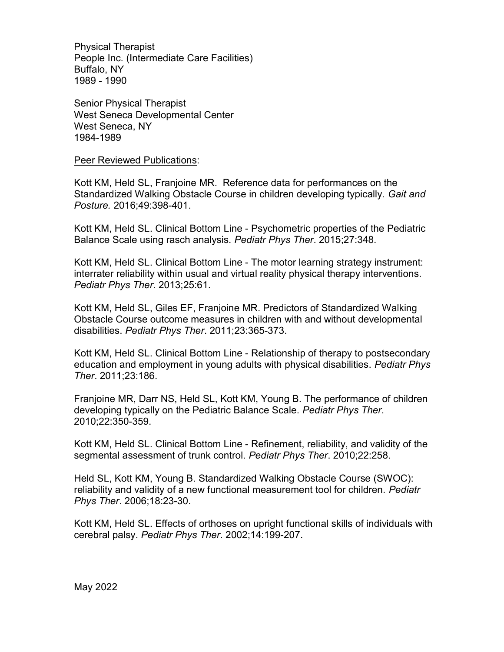Physical Therapist People Inc. (Intermediate Care Facilities) Buffalo, NY 1989 - 1990

Senior Physical Therapist West Seneca Developmental Center West Seneca, NY 1984-1989

#### Peer Reviewed Publications:

Kott KM, Held SL, Franjoine MR. Reference data for performances on the Standardized Walking Obstacle Course in children developing typically. Gait and Posture. 2016;49:398-401.

Kott KM, Held SL. Clinical Bottom Line - Psychometric properties of the Pediatric Balance Scale using rasch analysis. Pediatr Phys Ther. 2015;27:348.

Kott KM, Held SL. Clinical Bottom Line - The motor learning strategy instrument: interrater reliability within usual and virtual reality physical therapy interventions. Pediatr Phys Ther. 2013;25:61.

Kott KM, Held SL, Giles EF, Franjoine MR. Predictors of Standardized Walking Obstacle Course outcome measures in children with and without developmental disabilities. Pediatr Phys Ther. 2011;23:365-373.

Kott KM, Held SL. Clinical Bottom Line - Relationship of therapy to postsecondary education and employment in young adults with physical disabilities. Pediatr Phys Ther. 2011;23:186.

Franjoine MR, Darr NS, Held SL, Kott KM, Young B. The performance of children developing typically on the Pediatric Balance Scale. Pediatr Phys Ther. 2010;22:350-359.

Kott KM, Held SL. Clinical Bottom Line - Refinement, reliability, and validity of the segmental assessment of trunk control. Pediatr Phys Ther. 2010;22:258.

Held SL, Kott KM, Young B. Standardized Walking Obstacle Course (SWOC): reliability and validity of a new functional measurement tool for children. Pediatr Phys Ther. 2006;18:23-30.

Kott KM, Held SL. Effects of orthoses on upright functional skills of individuals with cerebral palsy. Pediatr Phys Ther. 2002;14:199-207.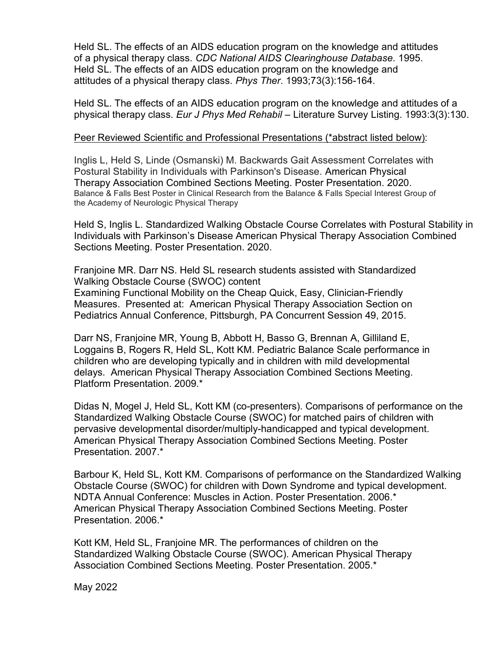Held SL. The effects of an AIDS education program on the knowledge and attitudes of a physical therapy class. CDC National AIDS Clearinghouse Database. 1995. Held SL. The effects of an AIDS education program on the knowledge and attitudes of a physical therapy class. Phys Ther. 1993;73(3):156-164.

Held SL. The effects of an AIDS education program on the knowledge and attitudes of a physical therapy class. Eur J Phys Med Rehabil – Literature Survey Listing. 1993:3(3):130.

### Peer Reviewed Scientific and Professional Presentations (\*abstract listed below):

Inglis L, Held S, Linde (Osmanski) M. Backwards Gait Assessment Correlates with Postural Stability in Individuals with Parkinson's Disease. American Physical Therapy Association Combined Sections Meeting. Poster Presentation. 2020. Balance & Falls Best Poster in Clinical Research from the Balance & Falls Special Interest Group of the Academy of Neurologic Physical Therapy

Held S, Inglis L. Standardized Walking Obstacle Course Correlates with Postural Stability in Individuals with Parkinson's Disease American Physical Therapy Association Combined Sections Meeting. Poster Presentation. 2020.

Franjoine MR. Darr NS. Held SL research students assisted with Standardized Walking Obstacle Course (SWOC) content Examining Functional Mobility on the Cheap Quick, Easy, Clinician-Friendly Measures. Presented at: American Physical Therapy Association Section on Pediatrics Annual Conference, Pittsburgh, PA Concurrent Session 49, 2015.

Darr NS, Franjoine MR, Young B, Abbott H, Basso G, Brennan A, Gilliland E, Loggains B, Rogers R, Held SL, Kott KM. Pediatric Balance Scale performance in children who are developing typically and in children with mild developmental delays. American Physical Therapy Association Combined Sections Meeting. Platform Presentation. 2009.\*

Didas N, Mogel J, Held SL, Kott KM (co-presenters). Comparisons of performance on the Standardized Walking Obstacle Course (SWOC) for matched pairs of children with pervasive developmental disorder/multiply-handicapped and typical development. American Physical Therapy Association Combined Sections Meeting. Poster Presentation. 2007.\*

Barbour K, Held SL, Kott KM. Comparisons of performance on the Standardized Walking Obstacle Course (SWOC) for children with Down Syndrome and typical development. NDTA Annual Conference: Muscles in Action. Poster Presentation. 2006.\* American Physical Therapy Association Combined Sections Meeting. Poster Presentation. 2006.\*

Kott KM, Held SL, Franjoine MR. The performances of children on the Standardized Walking Obstacle Course (SWOC). American Physical Therapy Association Combined Sections Meeting. Poster Presentation. 2005.\*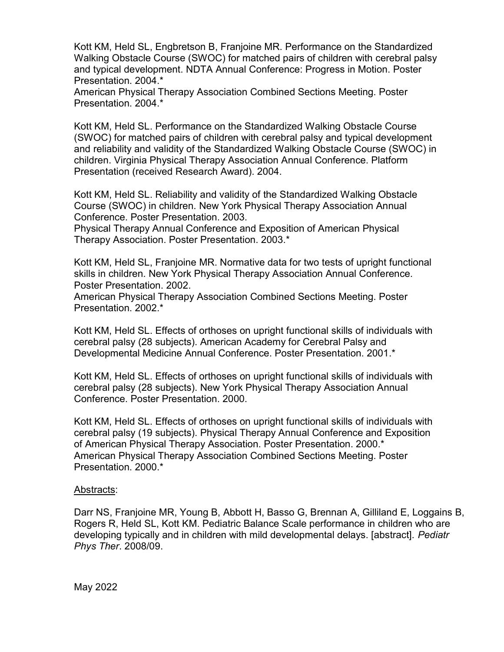Kott KM, Held SL, Engbretson B, Franjoine MR. Performance on the Standardized Walking Obstacle Course (SWOC) for matched pairs of children with cerebral palsy and typical development. NDTA Annual Conference: Progress in Motion. Poster Presentation. 2004.\*

American Physical Therapy Association Combined Sections Meeting. Poster Presentation. 2004.\*

Kott KM, Held SL. Performance on the Standardized Walking Obstacle Course (SWOC) for matched pairs of children with cerebral palsy and typical development and reliability and validity of the Standardized Walking Obstacle Course (SWOC) in children. Virginia Physical Therapy Association Annual Conference. Platform Presentation (received Research Award). 2004.

Kott KM, Held SL. Reliability and validity of the Standardized Walking Obstacle Course (SWOC) in children. New York Physical Therapy Association Annual Conference. Poster Presentation. 2003.

Physical Therapy Annual Conference and Exposition of American Physical Therapy Association. Poster Presentation. 2003.\*

Kott KM, Held SL, Franjoine MR. Normative data for two tests of upright functional skills in children. New York Physical Therapy Association Annual Conference. Poster Presentation. 2002.

American Physical Therapy Association Combined Sections Meeting. Poster Presentation. 2002.\*

Kott KM, Held SL. Effects of orthoses on upright functional skills of individuals with cerebral palsy (28 subjects). American Academy for Cerebral Palsy and Developmental Medicine Annual Conference. Poster Presentation. 2001.\*

Kott KM, Held SL. Effects of orthoses on upright functional skills of individuals with cerebral palsy (28 subjects). New York Physical Therapy Association Annual Conference. Poster Presentation. 2000.

Kott KM, Held SL. Effects of orthoses on upright functional skills of individuals with cerebral palsy (19 subjects). Physical Therapy Annual Conference and Exposition of American Physical Therapy Association. Poster Presentation. 2000.\* American Physical Therapy Association Combined Sections Meeting. Poster Presentation. 2000.\*

### Abstracts:

Darr NS, Franjoine MR, Young B, Abbott H, Basso G, Brennan A, Gilliland E, Loggains B, Rogers R, Held SL, Kott KM. Pediatric Balance Scale performance in children who are developing typically and in children with mild developmental delays. [abstract]. Pediatr Phys Ther. 2008/09.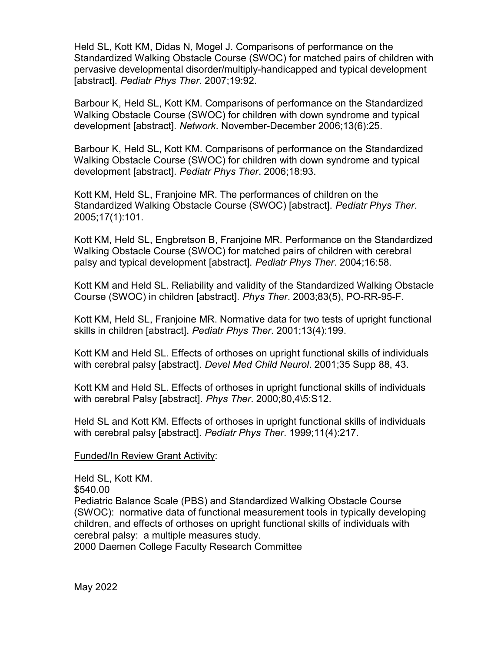Held SL, Kott KM, Didas N, Mogel J. Comparisons of performance on the Standardized Walking Obstacle Course (SWOC) for matched pairs of children with pervasive developmental disorder/multiply-handicapped and typical development [abstract]. Pediatr Phys Ther. 2007;19:92.

Barbour K, Held SL, Kott KM. Comparisons of performance on the Standardized Walking Obstacle Course (SWOC) for children with down syndrome and typical development [abstract]. Network. November-December 2006;13(6):25.

Barbour K, Held SL, Kott KM. Comparisons of performance on the Standardized Walking Obstacle Course (SWOC) for children with down syndrome and typical development [abstract]. Pediatr Phys Ther. 2006;18:93.

Kott KM, Held SL, Franjoine MR. The performances of children on the Standardized Walking Obstacle Course (SWOC) [abstract]. Pediatr Phys Ther. 2005;17(1):101.

Kott KM, Held SL, Engbretson B, Franjoine MR. Performance on the Standardized Walking Obstacle Course (SWOC) for matched pairs of children with cerebral palsy and typical development [abstract]. Pediatr Phys Ther. 2004;16:58.

Kott KM and Held SL. Reliability and validity of the Standardized Walking Obstacle Course (SWOC) in children [abstract]. Phys Ther. 2003;83(5), PO-RR-95-F.

Kott KM, Held SL, Franjoine MR. Normative data for two tests of upright functional skills in children [abstract]. Pediatr Phys Ther. 2001;13(4):199.

Kott KM and Held SL. Effects of orthoses on upright functional skills of individuals with cerebral palsy [abstract]. Devel Med Child Neurol. 2001;35 Supp 88, 43.

Kott KM and Held SL. Effects of orthoses in upright functional skills of individuals with cerebral Palsy [abstract]. Phys Ther. 2000;80,4\5:S12.

Held SL and Kott KM. Effects of orthoses in upright functional skills of individuals with cerebral palsy [abstract]. Pediatr Phys Ther. 1999;11(4):217.

Funded/In Review Grant Activity:

Held SL, Kott KM. \$540.00 Pediatric Balance Scale (PBS) and Standardized Walking Obstacle Course (SWOC): normative data of functional measurement tools in typically developing children, and effects of orthoses on upright functional skills of individuals with cerebral palsy: a multiple measures study.

2000 Daemen College Faculty Research Committee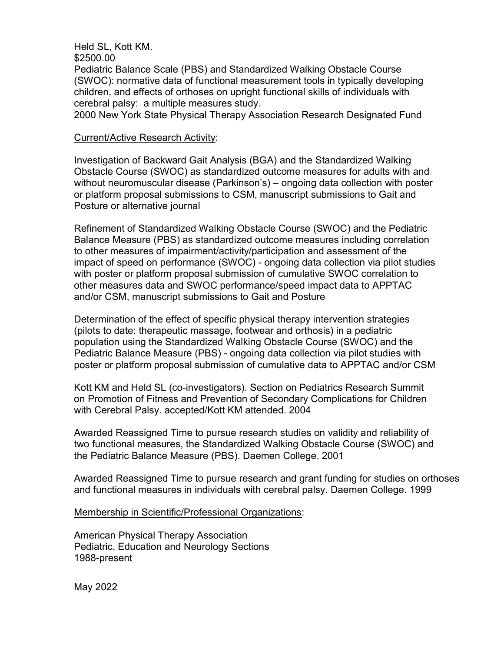Held SL, Kott KM.

\$2500.00

Pediatric Balance Scale (PBS) and Standardized Walking Obstacle Course (SWOC): normative data of functional measurement tools in typically developing children, and effects of orthoses on upright functional skills of individuals with cerebral palsy: a multiple measures study.

2000 New York State Physical Therapy Association Research Designated Fund

### Current/Active Research Activity:

Investigation of Backward Gait Analysis (BGA) and the Standardized Walking Obstacle Course (SWOC) as standardized outcome measures for adults with and without neuromuscular disease (Parkinson's) – ongoing data collection with poster or platform proposal submissions to CSM, manuscript submissions to Gait and Posture or alternative journal

Refinement of Standardized Walking Obstacle Course (SWOC) and the Pediatric Balance Measure (PBS) as standardized outcome measures including correlation to other measures of impairment/activity/participation and assessment of the impact of speed on performance (SWOC) - ongoing data collection via pilot studies with poster or platform proposal submission of cumulative SWOC correlation to other measures data and SWOC performance/speed impact data to APPTAC and/or CSM, manuscript submissions to Gait and Posture

Determination of the effect of specific physical therapy intervention strategies (pilots to date: therapeutic massage, footwear and orthosis) in a pediatric population using the Standardized Walking Obstacle Course (SWOC) and the Pediatric Balance Measure (PBS) - ongoing data collection via pilot studies with poster or platform proposal submission of cumulative data to APPTAC and/or CSM

Kott KM and Held SL (co-investigators). Section on Pediatrics Research Summit on Promotion of Fitness and Prevention of Secondary Complications for Children with Cerebral Palsy. accepted/Kott KM attended. 2004

Awarded Reassigned Time to pursue research studies on validity and reliability of two functional measures, the Standardized Walking Obstacle Course (SWOC) and the Pediatric Balance Measure (PBS). Daemen College. 2001

 Awarded Reassigned Time to pursue research and grant funding for studies on orthoses and functional measures in individuals with cerebral palsy. Daemen College. 1999

Membership in Scientific/Professional Organizations:

American Physical Therapy Association Pediatric, Education and Neurology Sections 1988-present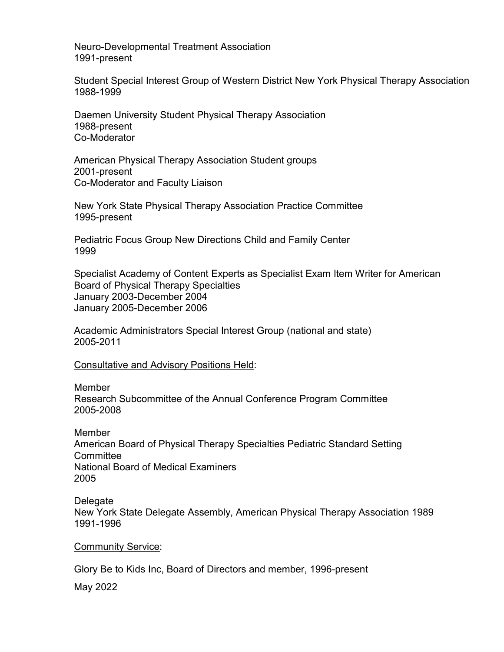Neuro-Developmental Treatment Association 1991-present

Student Special Interest Group of Western District New York Physical Therapy Association 1988-1999

Daemen University Student Physical Therapy Association 1988-present Co-Moderator

American Physical Therapy Association Student groups 2001-present Co-Moderator and Faculty Liaison

New York State Physical Therapy Association Practice Committee 1995-present

Pediatric Focus Group New Directions Child and Family Center 1999

Specialist Academy of Content Experts as Specialist Exam Item Writer for American Board of Physical Therapy Specialties January 2003-December 2004 January 2005-December 2006

Academic Administrators Special Interest Group (national and state) 2005-2011

Consultative and Advisory Positions Held:

**Member** Research Subcommittee of the Annual Conference Program Committee 2005-2008

Member American Board of Physical Therapy Specialties Pediatric Standard Setting **Committee** National Board of Medical Examiners 2005

Delegate New York State Delegate Assembly, American Physical Therapy Association 1989 1991-1996

Community Service:

Glory Be to Kids Inc, Board of Directors and member, 1996-present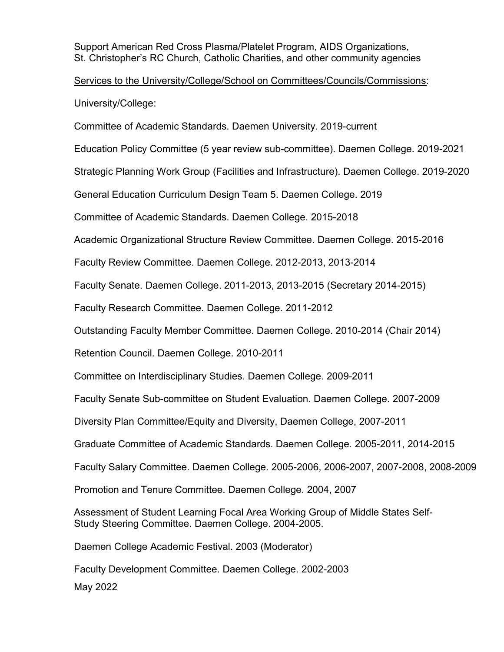Support American Red Cross Plasma/Platelet Program, AIDS Organizations, St. Christopher's RC Church, Catholic Charities, and other community agencies

Services to the University/College/School on Committees/Councils/Commissions: University/College:

Committee of Academic Standards. Daemen University. 2019-current

Education Policy Committee (5 year review sub-committee). Daemen College. 2019-2021

Strategic Planning Work Group (Facilities and Infrastructure). Daemen College. 2019-2020

General Education Curriculum Design Team 5. Daemen College. 2019

Committee of Academic Standards. Daemen College. 2015-2018

Academic Organizational Structure Review Committee. Daemen College. 2015-2016

Faculty Review Committee. Daemen College. 2012-2013, 2013-2014

Faculty Senate. Daemen College. 2011-2013, 2013-2015 (Secretary 2014-2015)

Faculty Research Committee. Daemen College. 2011-2012

Outstanding Faculty Member Committee. Daemen College. 2010-2014 (Chair 2014)

Retention Council. Daemen College. 2010-2011

Committee on Interdisciplinary Studies. Daemen College. 2009-2011

Faculty Senate Sub-committee on Student Evaluation. Daemen College. 2007-2009

Diversity Plan Committee/Equity and Diversity, Daemen College, 2007-2011

Graduate Committee of Academic Standards. Daemen College. 2005-2011, 2014-2015

Faculty Salary Committee. Daemen College. 2005-2006, 2006-2007, 2007-2008, 2008-2009

Promotion and Tenure Committee. Daemen College. 2004, 2007

Assessment of Student Learning Focal Area Working Group of Middle States Self-Study Steering Committee. Daemen College. 2004-2005.

Daemen College Academic Festival. 2003 (Moderator)

May 2022 Faculty Development Committee. Daemen College. 2002-2003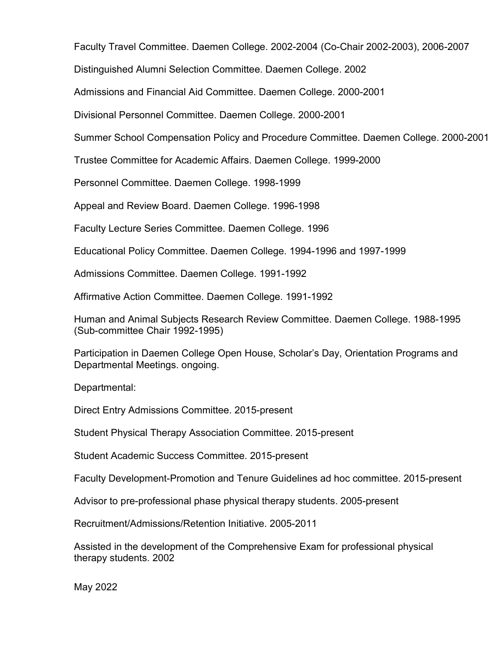Faculty Travel Committee. Daemen College. 2002-2004 (Co-Chair 2002-2003), 2006-2007

Distinguished Alumni Selection Committee. Daemen College. 2002

Admissions and Financial Aid Committee. Daemen College. 2000-2001

Divisional Personnel Committee. Daemen College. 2000-2001

Summer School Compensation Policy and Procedure Committee. Daemen College. 2000-2001

Trustee Committee for Academic Affairs. Daemen College. 1999-2000

Personnel Committee. Daemen College. 1998-1999

Appeal and Review Board. Daemen College. 1996-1998

Faculty Lecture Series Committee. Daemen College. 1996

Educational Policy Committee. Daemen College. 1994-1996 and 1997-1999

Admissions Committee. Daemen College. 1991-1992

Affirmative Action Committee. Daemen College. 1991-1992

Human and Animal Subjects Research Review Committee. Daemen College. 1988-1995 (Sub-committee Chair 1992-1995)

Participation in Daemen College Open House, Scholar's Day, Orientation Programs and Departmental Meetings. ongoing.

Departmental:

Direct Entry Admissions Committee. 2015-present

Student Physical Therapy Association Committee. 2015-present

Student Academic Success Committee. 2015-present

Faculty Development-Promotion and Tenure Guidelines ad hoc committee. 2015-present

Advisor to pre-professional phase physical therapy students. 2005-present

Recruitment/Admissions/Retention Initiative. 2005-2011

Assisted in the development of the Comprehensive Exam for professional physical therapy students. 2002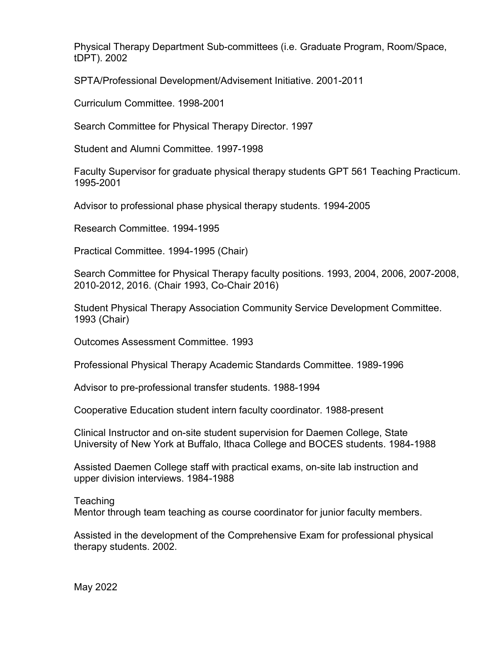Physical Therapy Department Sub-committees (i.e. Graduate Program, Room/Space, tDPT). 2002

SPTA/Professional Development/Advisement Initiative. 2001-2011

Curriculum Committee. 1998-2001

Search Committee for Physical Therapy Director. 1997

Student and Alumni Committee. 1997-1998

Faculty Supervisor for graduate physical therapy students GPT 561 Teaching Practicum. 1995-2001

Advisor to professional phase physical therapy students. 1994-2005

Research Committee. 1994-1995

Practical Committee. 1994-1995 (Chair)

Search Committee for Physical Therapy faculty positions. 1993, 2004, 2006, 2007-2008, 2010-2012, 2016. (Chair 1993, Co-Chair 2016)

Student Physical Therapy Association Community Service Development Committee. 1993 (Chair)

Outcomes Assessment Committee. 1993

Professional Physical Therapy Academic Standards Committee. 1989-1996

Advisor to pre-professional transfer students. 1988-1994

Cooperative Education student intern faculty coordinator. 1988-present

Clinical Instructor and on-site student supervision for Daemen College, State University of New York at Buffalo, Ithaca College and BOCES students. 1984-1988

Assisted Daemen College staff with practical exams, on-site lab instruction and upper division interviews. 1984-1988

Teaching Mentor through team teaching as course coordinator for junior faculty members.

Assisted in the development of the Comprehensive Exam for professional physical therapy students. 2002.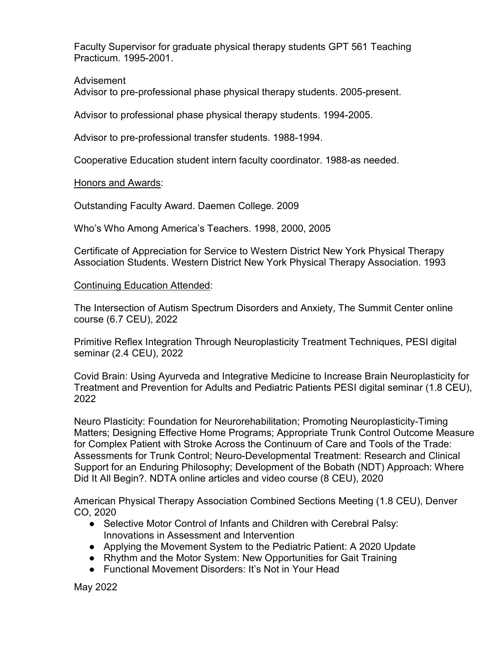Faculty Supervisor for graduate physical therapy students GPT 561 Teaching Practicum. 1995-2001.

# Advisement

Advisor to pre-professional phase physical therapy students. 2005-present.

Advisor to professional phase physical therapy students. 1994-2005.

Advisor to pre-professional transfer students. 1988-1994.

Cooperative Education student intern faculty coordinator. 1988-as needed.

# Honors and Awards:

Outstanding Faculty Award. Daemen College. 2009

Who's Who Among America's Teachers. 1998, 2000, 2005

Certificate of Appreciation for Service to Western District New York Physical Therapy Association Students. Western District New York Physical Therapy Association. 1993

# Continuing Education Attended:

The Intersection of Autism Spectrum Disorders and Anxiety, The Summit Center online course (6.7 CEU), 2022

Primitive Reflex Integration Through Neuroplasticity Treatment Techniques, PESI digital seminar (2.4 CEU), 2022

Covid Brain: Using Ayurveda and Integrative Medicine to Increase Brain Neuroplasticity for Treatment and Prevention for Adults and Pediatric Patients PESI digital seminar (1.8 CEU), 2022

Neuro Plasticity: Foundation for Neurorehabilitation; Promoting Neuroplasticity-Timing Matters; Designing Effective Home Programs; Appropriate Trunk Control Outcome Measure for Complex Patient with Stroke Across the Continuum of Care and Tools of the Trade: Assessments for Trunk Control; Neuro-Developmental Treatment: Research and Clinical Support for an Enduring Philosophy; Development of the Bobath (NDT) Approach: Where Did It All Begin?. NDTA online articles and video course (8 CEU), 2020

American Physical Therapy Association Combined Sections Meeting (1.8 CEU), Denver CO, 2020

- Selective Motor Control of Infants and Children with Cerebral Palsy: Innovations in Assessment and Intervention
- Applying the Movement System to the Pediatric Patient: A 2020 Update
- Rhythm and the Motor System: New Opportunities for Gait Training
- Functional Movement Disorders: It's Not in Your Head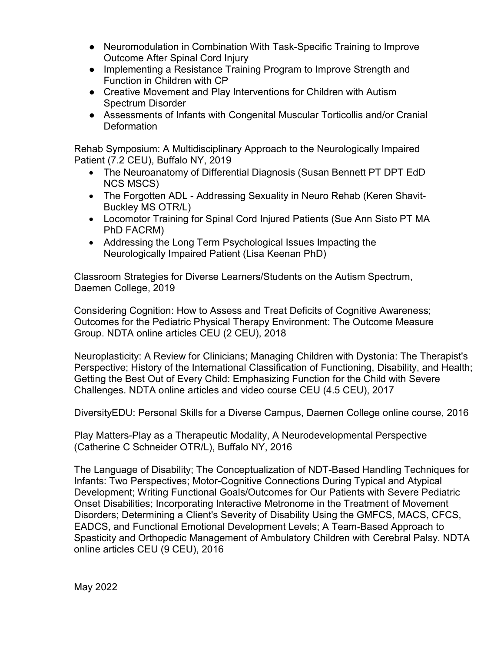- Neuromodulation in Combination With Task-Specific Training to Improve Outcome After Spinal Cord Injury
- Implementing a Resistance Training Program to Improve Strength and Function in Children with CP
- Creative Movement and Play Interventions for Children with Autism Spectrum Disorder
- Assessments of Infants with Congenital Muscular Torticollis and/or Cranial **Deformation**

Rehab Symposium: A Multidisciplinary Approach to the Neurologically Impaired Patient (7.2 CEU), Buffalo NY, 2019

- The Neuroanatomy of Differential Diagnosis (Susan Bennett PT DPT EdD NCS MSCS)
- The Forgotten ADL Addressing Sexuality in Neuro Rehab (Keren Shavit-Buckley MS OTR/L)
- Locomotor Training for Spinal Cord Injured Patients (Sue Ann Sisto PT MA PhD FACRM)
- Addressing the Long Term Psychological Issues Impacting the Neurologically Impaired Patient (Lisa Keenan PhD)

Classroom Strategies for Diverse Learners/Students on the Autism Spectrum, Daemen College, 2019

Considering Cognition: How to Assess and Treat Deficits of Cognitive Awareness; Outcomes for the Pediatric Physical Therapy Environment: The Outcome Measure Group. NDTA online articles CEU (2 CEU), 2018

Neuroplasticity: A Review for Clinicians; Managing Children with Dystonia: The Therapist's Perspective; History of the International Classification of Functioning, Disability, and Health; Getting the Best Out of Every Child: Emphasizing Function for the Child with Severe Challenges. NDTA online articles and video course CEU (4.5 CEU), 2017

DiversityEDU: Personal Skills for a Diverse Campus, Daemen College online course, 2016

Play Matters-Play as a Therapeutic Modality, A Neurodevelopmental Perspective (Catherine C Schneider OTR/L), Buffalo NY, 2016

The Language of Disability; The Conceptualization of NDT-Based Handling Techniques for Infants: Two Perspectives; Motor-Cognitive Connections During Typical and Atypical Development; Writing Functional Goals/Outcomes for Our Patients with Severe Pediatric Onset Disabilities; Incorporating Interactive Metronome in the Treatment of Movement Disorders; Determining a Client's Severity of Disability Using the GMFCS, MACS, CFCS, EADCS, and Functional Emotional Development Levels; A Team-Based Approach to Spasticity and Orthopedic Management of Ambulatory Children with Cerebral Palsy. NDTA online articles CEU (9 CEU), 2016